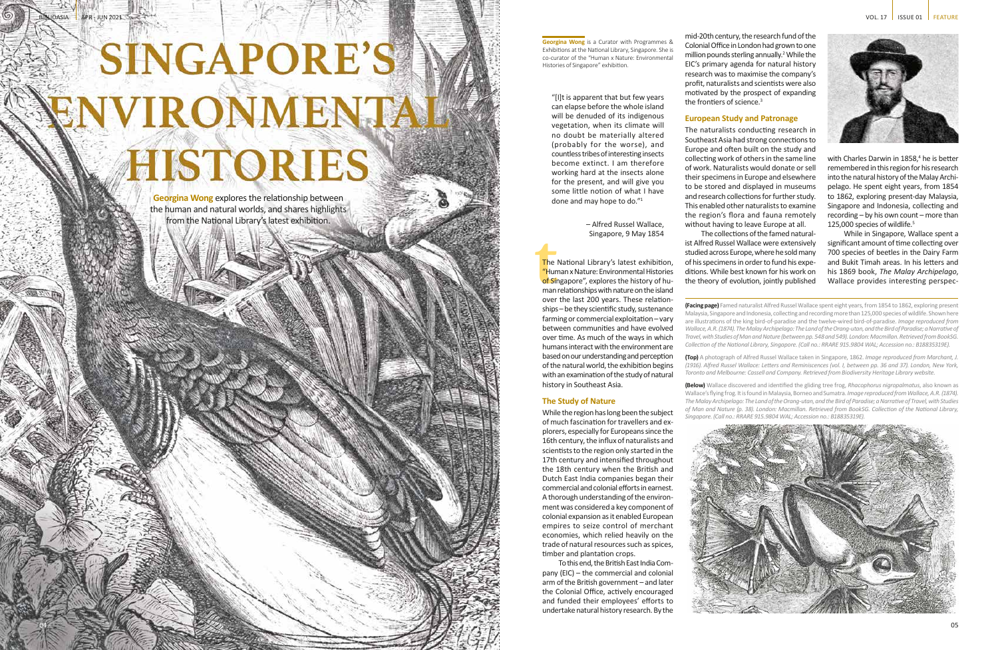# SINGAPORE'S **ENVIRONMENTA** HISTORIES

APR - JUN 2021

**Georgina Wong** is a Curator with Programmes & Exhibitions at the National Library, Singapore. She is co-curator of the "Human x Nature: Environmental Histories of Singapore" exhibition.

**Georgina Wong** explores the relationship between the human and natural worlds, and shares highlights from the National Library's latest exhibition.

"[I]t is apparent that but few years can elapse before the whole island will be denuded of its indigenous vegetation, when its climate will no doubt be materially altered (probably for the worse), and countless tribes of interesting insects become extinct. I am therefore working hard at the insects alone for the present, and will give you some little notion of what I have done and may hope to do." 1

**the**<br> **thum**<br> **thum**<br> **thum**<br> **thum**<br> **thum**<br> **thum**<br> **thum**<br> **thum**<br> **thum**<br> **thum** The National Library's latest exhibition, "Human x Nature: Environmental Histories of Singapore", explores the history of human relationships with nature on the island over the last 200 years. These relation ships – be they scientific study, sustenance farming or commercial exploitation – vary between communities and have evolved over time. As much of the ways in which humans interact with the environment are based on our understanding and perception of the natural world, the exhibition begins with an examination of the study of natural history in Southeast Asia.

– Alfred Russel Wallace, Singapore, 9 May 1854

### **The Study of Nature**

While the region has long been the subject of much fascination for travellers and ex plorers, especially for Europeans since the 16th century, the influx of naturalists and scientists to the region only started in the 17th century and intensified throughout the 18th century when the British and Dutch East India companies began their commercial and colonial efforts in earnest. A thorough understanding of the environ ment was considered a key component of colonial expansion as it enabled European empires to seize control of merchant economies, which relied heavily on the trade of natural resources such as spices, timber and plantation crops.

To this end, the British East India Com pany (EIC) – the commercial and colonial arm of the British government – and later the Colonial Office, actively encouraged and funded their employees' efforts to undertake natural history research. By the

**(Facing page)** Famed naturalist Alfred Russel Wallace spent eight years, from 1854 to 1862, exploring present Malaysia, Singapore and Indonesia, collecting and recording more than 125,000 species of wildlife. Shown here are illustrations of the king bird-of-paradise and the twelve-wired bird-of-paradise. *Image reproduced from Wallace, A.R. (1874). The Malay Archipelago: The Land of the Orang-utan, and the Bird of Paradise; a Narrative of Travel, with Studies of Man and Nature (between pp. 548 and 549). London: Macmillan. Retrieved from BookSG. Collection of the National Library, Singapore. (Call no.: RRARE 915.9804 WAL; Accession no.: B18835319E).*

**(Top)** A photograph of Alfred Russel Wallace taken in Singapore, 1862. *Image reproduced from Marchant, J. (1916). Alfred Russel Wallace: Letters and Reminiscences (vol. I, between pp. 36 and 37). London, New York, Toronto and Melbourne: Cassell and Company. Retrieved from Biodiversity Heritage Library website.*

**(Below)** Wallace discovered and identified the gliding tree frog, *Rhacophorus nigropalmatus*, also known as Wallace's flying frog. It is found in Malaysia, Borneo and Sumatra. *Image reproduced from Wallace, A.R. (1874). The Malay Archipelago: The Land of the Orang-utan, and the Bird of Paradise; a Narrative of Travel, with Studies of Man and Nature (p. 38). London: Macmillan. Retrieved from BookSG. Collection of the National Library, Singapore. (Call no.: RRARE 915.9804 WAL; Accession no.: B18835319E).*





mid-20th century, the research fund of the Colonial Office in London had grown to one million pounds sterling annually. 2 While the EIC's primary agenda for natural history research was to maximise the company's profit, naturalists and scientists were also motivated by the prospect of expanding the frontiers of science. 3 **European Study and Patronage** 

The naturalists conducting research in Southeast Asia had strong connections to Europe and often built on the study and collecting work of others in the same line of work. Naturalists would donate or sell their specimens in Europe and elsewhere to be stored and displayed in museums and research collections for further study. This enabled other naturalists to examine the region's flora and fauna remotely without having to leave Europe at all.

The collections of the famed natural ist Alfred Russel Wallace were extensively studied across Europe, where he sold many of his specimens in order to fund his expe ditions. While best known for his work on the theory of evolution, jointly published

with Charles Darwin in 1858, 4 he is better remembered in this region for his research into the natural history of the Malay Archi pelago. He spent eight years, from 1854 to 1862, exploring present-day Malaysia, Singapore and Indonesia, collecting and recording – by his own count – more than 125,000 species of wildlife. 5

While in Singapore, Wallace spent a significant amount of time collecting over 700 species of beetles in the Dairy Farm and Bukit Timah areas. In his letters and his 1869 book, *The Malay Archipelago*, Wallace provides interesting perspec -



04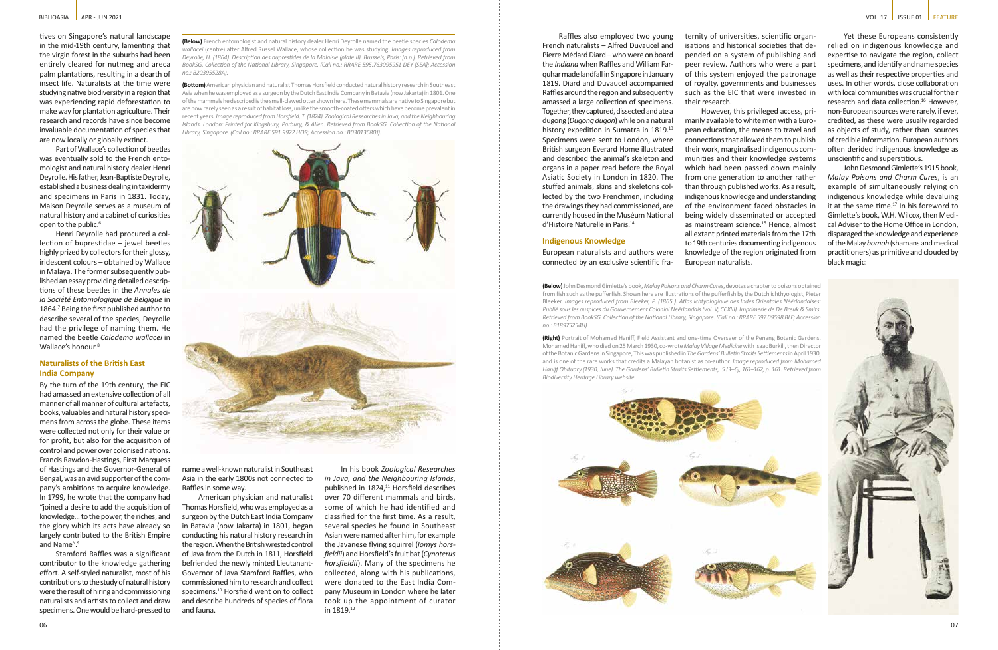tives on Singapore's natural landscape in the mid-19th century, lamenting that the virgin forest in the suburbs had been entirely cleared for nutmeg and areca palm plantations, resulting in a dearth of insect life. Naturalists at the time were studying native biodiversity in a region that was experiencing rapid deforestation to make way for plantation agriculture. Their research and records have since become invaluable documentation of species that are now locally or globally extinct.

Part of Wallace's collection of beetles was eventually sold to the French entomologist and natural history dealer Henri Deyrolle. His father, Jean-Baptiste Deyrolle, established a business dealing in taxidermy and specimens in Paris in 1831. Today, Maison Deyrolle serves as a museum of natural history and a cabinet of curiosities open to the public.<sup>6</sup>

Henri Deyrolle had procured a collection of buprestidae – jewel beetles highly prized by collectors for their glossy, iridescent colours – obtained by Wallace in Malaya. The former subsequently published an essay providing detailed descriptions of these beetles in the *Annales de la Société Entomologique de Belgique* in 1864.7 Being the first published author to describe several of the species, Deyrolle had the privilege of naming them. He named the beetle *Calodema wallacei* in Wallace's honour.<sup>8</sup>

By the turn of the 19th century, the EIC had amassed an extensive collection of all manner of all manner of cultural artefacts, books, valuables and natural history specimens from across the globe. These items were collected not only for their value or for profit, but also for the acquisition of control and power over colonised nations. Francis Rawdon-Hastings, First Marquess of Hastings and the Governor-General of Bengal, was an avid supporter of the company's ambitions to acquire knowledge. In 1799, he wrote that the company had "joined a desire to add the acquisition of knowledge… to the power, the riches, and the glory which its acts have already so largely contributed to the British Empire and Name".<sup>9</sup>

## **Naturalists of the British East India Company**

Stamford Raffles was a significant contributor to the knowledge gathering effort. A self-styled naturalist, most of his contributions to the study of natural history were the result of hiring and commissioning naturalists and artists to collect and draw specimens. One would be hard-pressed to

Raffles also employed two young French naturalists – Alfred Duvaucel and Pierre Médard Diard – who were on board the *Indiana* when Raffles and William Farquhar made landfall in Singapore in January 1819. Diard and Duvaucel accompanied Raffles around the region and subsequently amassed a large collection of specimens. Together, they captured, dissected and ate a dugong (*Dugong dugon*) while on a natural history expedition in Sumatra in 1819.<sup>13</sup> Specimens were sent to London, where British surgeon Everard Home illustrated and described the animal's skeleton and organs in a paper read before the Royal Asiatic Society in London in 1820. The stuffed animals, skins and skeletons collected by the two Frenchmen, including the drawings they had commissioned, are currently housed in the Muséum National d'Histoire Naturelle in Paris.14

**Indigenous Knowledge**

European naturalists and authors were connected by an exclusive scientific fra-

**(Below)** French entomologist and natural history dealer Henri Deyrolle named the beetle species *Calodema wallacei* (centre) after Alfred Russel Wallace, whose collection he was studying. *Images reproduced from Deyrolle, H. (1864). Description des buprestides de la Malaisie (plate II). Brussels, Paris: [n.p.]. Retrieved from BookSG. Collection of the National Library, Singapore. (Call no.: RRARE 595.763095951 DEY-[SEA]; Accession no.: B20395528A).*

**(Bottom)** American physician and naturalist Thomas Horsfield conducted natural history research in Southeast Asia when he was employed as a surgeon by the Dutch East India Company in Batavia (now Jakarta) in 1801. One of the mammals he described is the small-clawed otter shown here. These mammals are native to Singapore but are now rarely seen as a result of habitat loss, unlike the smooth-coated otters which have become prevalent in recent years. *Image reproduced from Horsfield, T. (1824). Zoological Researches in Java, and the Neighbouring Islands. London: Printed for Kingsbury, Parbury, & Allen. Retrieved from BookSG. Collection of the National Library, Singapore. (Call no.: RRARE 591.9922 HOR; Accession no.: B03013680J).*



**(Below)** John Desmond Gimlette's book, *Malay Poisons and Charm Cures*, devotes a chapter to poisons obtained from fish such as the pufferfish. Shown here are illustrations of the pufferfish by the Dutch ichthyologist, Pieter Bleeker. *Images reproduced from Bleeker, P. (1865 ). Atlas Ichtyologique des Indes Orientales Néêrlandaises: Publié sous les auspices du Gouvernement Colonial Néêrlandais (vol. V; CCXIII). Imprimerie de De Breuk & Smits. Retrieved from BookSG. Collection of the National Library, Singapore. (Call no.: RRARE 597.09598 BLE; Accession no.: B18975254H)*

**(Right)** Portrait of Mohamed Haniff, Field Assistant and one-time Overseer of the Penang Botanic Gardens. Mohamed Haniff, who died on 25 March 1930, co-wrote *Malay Village Medicine* with Isaac Burkill, then Director of the Botanic Gardens in Singapore, This was published in *The Gardens' Bulletin Straits Settlements* in April 1930, and is one of the rare works that credits a Malayan botanist as co-author. *Image reproduced from Mohamed Haniff Obituary (1930, June). The Gardens' Bulletin Straits Settlements, 5 (3–6), 161–162, p. 161. Retrieved from Biodiversity Heritage Library website.*

name a well-known naturalist in Southeast Asia in the early 1800s not connected to Raffles in some way.

American physician and naturalist Thomas Horsfield, who was employed as a surgeon by the Dutch East India Company in Batavia (now Jakarta) in 1801, began conducting his natural history research in the region. When the British wrested control of Java from the Dutch in 1811, Horsfield befriended the newly minted Lieutanant-Governor of Java Stamford Raffles, who commissioned him to research and collect specimens.<sup>10</sup> Horsfield went on to collect and describe hundreds of species of flora and fauna.

In his book *Zoological Researches in Java, and the Neighbouring Islands*, published in 1824,<sup>11</sup> Horsfield describes over 70 different mammals and birds, some of which he had identified and classified for the first time. As a result, several species he found in Southeast Asian were named after him, for example the Javanese flying squirrel (*Iomys horsfieldii*) and Horsfield's fruit bat (*Cynoterus horsfieldii*). Many of the specimens he collected, along with his publications, were donated to the East India Company Museum in London where he later took up the appointment of curator in 1819.12

ternity of universities, scientific organisations and historical societies that depended on a system of publishing and peer review. Authors who were a part of this system enjoyed the patronage of royalty, governments and businesses such as the EIC that were invested in their research.

However, this privileged access, primarily available to white men with a European education, the means to travel and connections that allowed them to publish their work, marginalised indigenous communities and their knowledge systems which had been passed down mainly from one generation to another rather than through published works. As a result, indigenous knowledge and understanding of the environment faced obstacles in being widely disseminated or accepted as mainstream science.<sup>15</sup> Hence, almost all extant printed materials from the 17th to 19th centuries documenting indigenous knowledge of the region originated from European naturalists.

Yet these Europeans consistently relied on indigenous knowledge and expertise to navigate the region, collect specimens, and identify and name species as well as their respective properties and uses. In other words, close collaboration with local communities was crucial for their research and data collection.<sup>16</sup> However, non-European sources were rarely, if ever, credited, as these were usually regarded as objects of study, rather than sources of credible information. European authors often derided indigenous knowledge as unscientific and superstitious.

John Desmond Gimlette's 1915 book, *Malay Poisons and Charm Cures*, is an example of simultaneously relying on indigenous knowledge while devaluing it at the same time. $17$  In his foreword to Gimlette's book, W.H. Wilcox, then Medical Adviser to the Home Office in London, disparaged the knowledge and experience of the Malay *bomoh* (shamans and medical practitioners) as primitive and clouded by black magic: